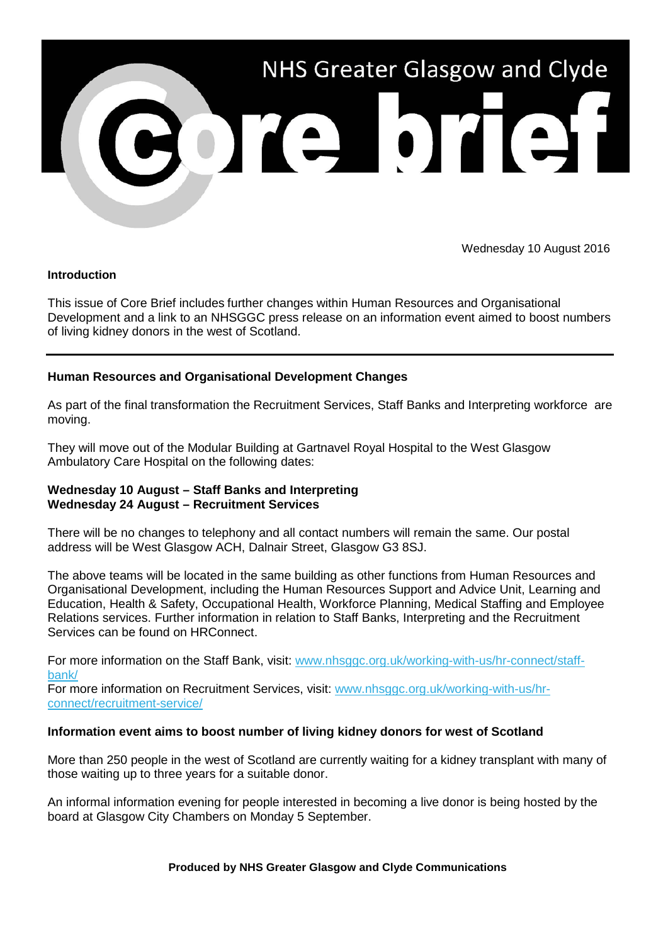

Wednesday 10 August 2016

## **Introduction**

This issue of Core Brief includes further changes within Human Resources and Organisational Development and a link to an NHSGGC press release on an information event aimed to boost numbers of living kidney donors in the west of Scotland.

## **Human Resources and Organisational Development Changes**

As part of the final transformation the Recruitment Services, Staff Banks and Interpreting workforce are moving.

They will move out of the Modular Building at Gartnavel Royal Hospital to the West Glasgow Ambulatory Care Hospital on the following dates:

## **Wednesday 10 August – Staff Banks and Interpreting Wednesday 24 August – Recruitment Services**

There will be no changes to telephony and all contact numbers will remain the same. Our postal address will be West Glasgow ACH, Dalnair Street, Glasgow G3 8SJ.

The above teams will be located in the same building as other functions from Human Resources and Organisational Development, including the Human Resources Support and Advice Unit, Learning and Education, Health & Safety, Occupational Health, Workforce Planning, Medical Staffing and Employee Relations services. Further information in relation to Staff Banks, Interpreting and the Recruitment Services can be found on HRConnect.

For more information on the Staff Bank, visit: [www.nhsggc.org.uk/working-with-us/hr-connect/staff](http://nhsggc.us12.list-manage1.com/track/click?u=0f385b5aea37eaf0213bd19fb&id=c2819a8d6f&e=5af5e1832c)[bank/](http://nhsggc.us12.list-manage1.com/track/click?u=0f385b5aea37eaf0213bd19fb&id=c2819a8d6f&e=5af5e1832c)

For more information on Recruitment Services, visit: [www.nhsggc.org.uk/working-with-us/hr](http://nhsggc.us12.list-manage2.com/track/click?u=0f385b5aea37eaf0213bd19fb&id=0e713aed6a&e=5af5e1832c)[connect/recruitment-service/](http://nhsggc.us12.list-manage2.com/track/click?u=0f385b5aea37eaf0213bd19fb&id=0e713aed6a&e=5af5e1832c)

## **Information event aims to boost number of living kidney donors for west of Scotland**

More than 250 people in the west of Scotland are currently waiting for a kidney transplant with many of those waiting up to three years for a suitable donor.

An informal information evening for people interested in becoming a live donor is being hosted by the board at Glasgow City Chambers on Monday 5 September.

**Produced by NHS Greater Glasgow and Clyde Communications**